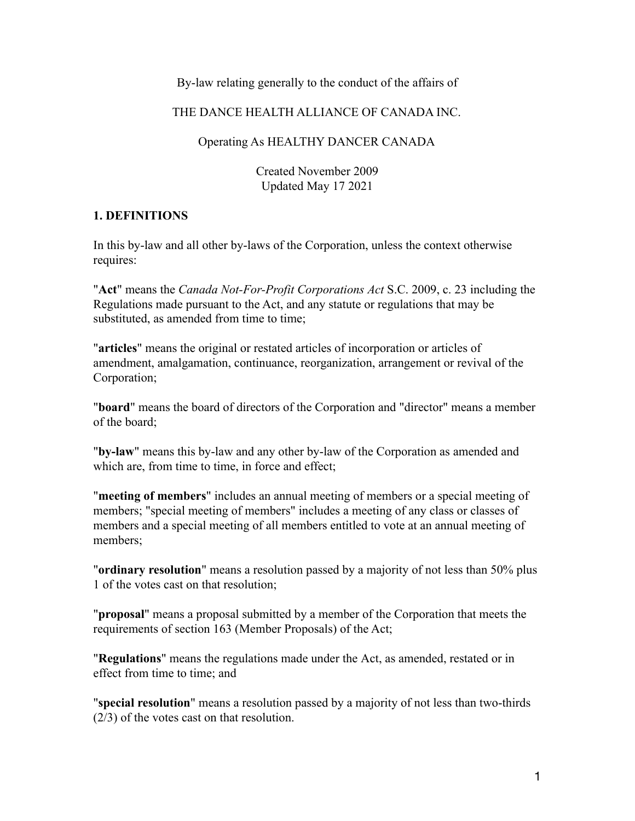### By-law relating generally to the conduct of the affairs of

### THE DANCE HEALTH ALLIANCE OF CANADA INC.

#### Operating As HEALTHY DANCER CANADA

Created November 2009 Updated May 17 2021

#### **1. DEFINITIONS**

In this by-law and all other by-laws of the Corporation, unless the context otherwise requires:

"**Act**" means the *Canada Not-For-Profit Corporations Act* S.C. 2009, c. 23 including the Regulations made pursuant to the Act, and any statute or regulations that may be substituted, as amended from time to time;

"**articles**" means the original or restated articles of incorporation or articles of amendment, amalgamation, continuance, reorganization, arrangement or revival of the Corporation;

"**board**" means the board of directors of the Corporation and "director" means a member of the board;

"**by-law**" means this by-law and any other by-law of the Corporation as amended and which are, from time to time, in force and effect;

"**meeting of members**" includes an annual meeting of members or a special meeting of members; "special meeting of members" includes a meeting of any class or classes of members and a special meeting of all members entitled to vote at an annual meeting of members;

"**ordinary resolution**" means a resolution passed by a majority of not less than 50% plus 1 of the votes cast on that resolution;

"**proposal**" means a proposal submitted by a member of the Corporation that meets the requirements of section 163 (Member Proposals) of the Act;

"**Regulations**" means the regulations made under the Act, as amended, restated or in effect from time to time; and

"**special resolution**" means a resolution passed by a majority of not less than two-thirds (2/3) of the votes cast on that resolution.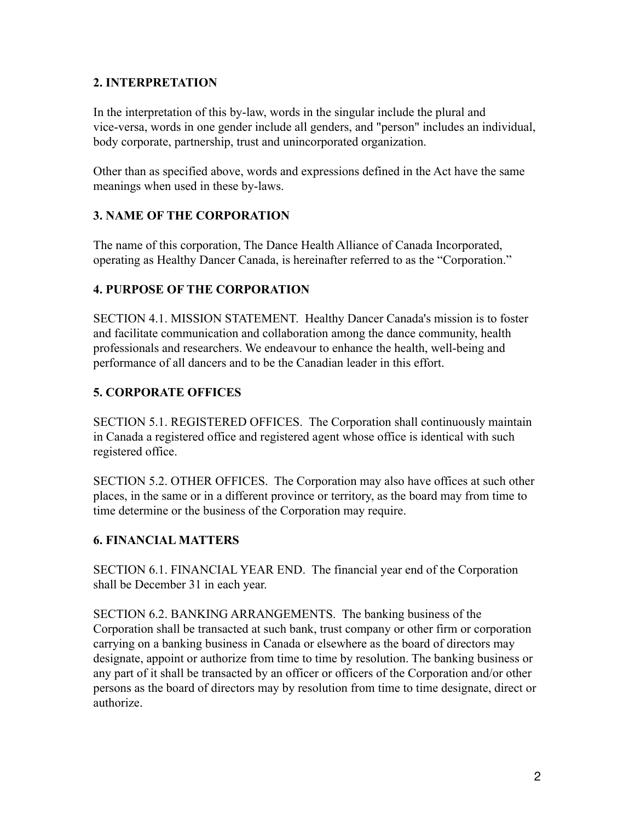### **2. INTERPRETATION**

In the interpretation of this by-law, words in the singular include the plural and vice-versa, words in one gender include all genders, and "person" includes an individual, body corporate, partnership, trust and unincorporated organization.

Other than as specified above, words and expressions defined in the Act have the same meanings when used in these by-laws.

# **3. NAME OF THE CORPORATION**

The name of this corporation, The Dance Health Alliance of Canada Incorporated, operating as Healthy Dancer Canada, is hereinafter referred to as the "Corporation."

# **4. PURPOSE OF THE CORPORATION**

SECTION 4.1. MISSION STATEMENT. Healthy Dancer Canada's mission is to foster and facilitate communication and collaboration among the dance community, health professionals and researchers. We endeavour to enhance the health, well-being and performance of all dancers and to be the Canadian leader in this effort.

# **5. CORPORATE OFFICES**

SECTION 5.1. REGISTERED OFFICES. The Corporation shall continuously maintain in Canada a registered office and registered agent whose office is identical with such registered office.

SECTION 5.2. OTHER OFFICES. The Corporation may also have offices at such other places, in the same or in a different province or territory, as the board may from time to time determine or the business of the Corporation may require.

# **6. FINANCIAL MATTERS**

SECTION 6.1. FINANCIAL YEAR END. The financial year end of the Corporation shall be December 31 in each year.

SECTION 6.2. BANKING ARRANGEMENTS. The banking business of the Corporation shall be transacted at such bank, trust company or other firm or corporation carrying on a banking business in Canada or elsewhere as the board of directors may designate, appoint or authorize from time to time by resolution. The banking business or any part of it shall be transacted by an officer or officers of the Corporation and/or other persons as the board of directors may by resolution from time to time designate, direct or authorize.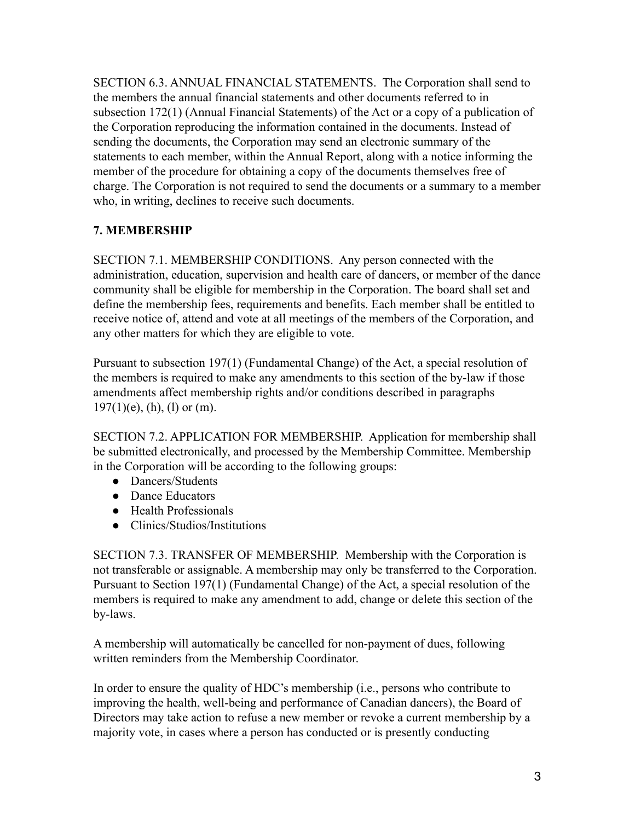SECTION 6.3. ANNUAL FINANCIAL STATEMENTS. The Corporation shall send to the members the annual financial statements and other documents referred to in subsection 172(1) (Annual Financial Statements) of the Act or a copy of a publication of the Corporation reproducing the information contained in the documents. Instead of sending the documents, the Corporation may send an electronic summary of the statements to each member, within the Annual Report, along with a notice informing the member of the procedure for obtaining a copy of the documents themselves free of charge. The Corporation is not required to send the documents or a summary to a member who, in writing, declines to receive such documents.

# **7. MEMBERSHIP**

SECTION 7.1. MEMBERSHIP CONDITIONS. Any person connected with the administration, education, supervision and health care of dancers, or member of the dance community shall be eligible for membership in the Corporation. The board shall set and define the membership fees, requirements and benefits. Each member shall be entitled to receive notice of, attend and vote at all meetings of the members of the Corporation, and any other matters for which they are eligible to vote.

Pursuant to subsection 197(1) (Fundamental Change) of the Act, a special resolution of the members is required to make any amendments to this section of the by-law if those amendments affect membership rights and/or conditions described in paragraphs  $197(1)(e)$ , (h), (l) or (m).

SECTION 7.2. APPLICATION FOR MEMBERSHIP. Application for membership shall be submitted electronically, and processed by the Membership Committee. Membership in the Corporation will be according to the following groups:

- Dancers/Students
- Dance Educators
- Health Professionals
- Clinics/Studios/Institutions

SECTION 7.3. TRANSFER OF MEMBERSHIP. Membership with the Corporation is not transferable or assignable. A membership may only be transferred to the Corporation. Pursuant to Section 197(1) (Fundamental Change) of the Act, a special resolution of the members is required to make any amendment to add, change or delete this section of the by-laws.

A membership will automatically be cancelled for non-payment of dues, following written reminders from the Membership Coordinator.

In order to ensure the quality of HDC's membership (i.e., persons who contribute to improving the health, well-being and performance of Canadian dancers), the Board of Directors may take action to refuse a new member or revoke a current membership by a majority vote, in cases where a person has conducted or is presently conducting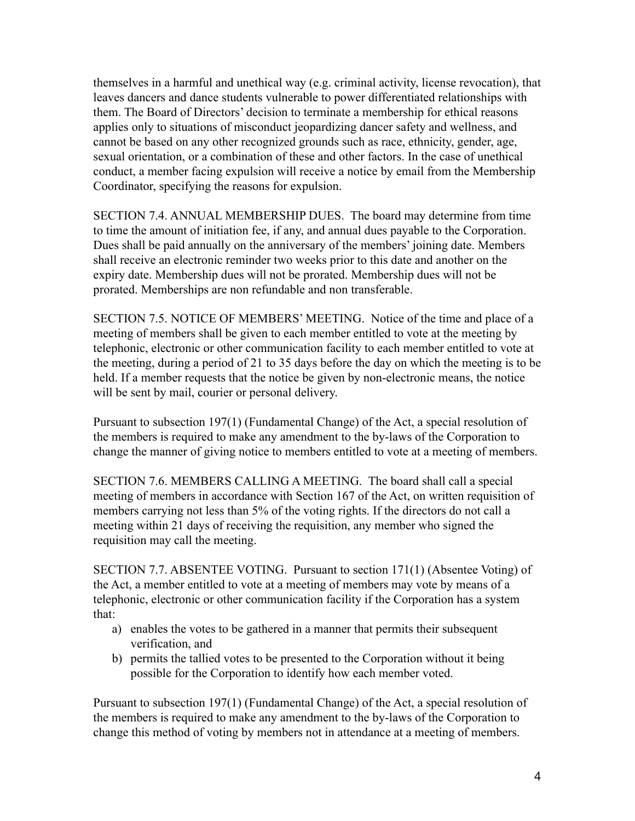themselves in a harmful and unethical way (e.g. criminal activity, license revocation), that leaves dancers and dance students vulnerable to power differentiated relationships with them. The Board of Directors' decision to terminate a membership for ethical reasons applies only to situations of misconduct jeopardizing dancer safety and wellness, and cannot be based on any other recognized grounds such as race, ethnicity, gender, age, sexual orientation, or a combination of these and other factors. In the case of unethical conduct, a member facing expulsion will receive a notice by email from the Membership Coordinator, specifying the reasons for expulsion.

SECTION 7.4. ANNUAL MEMBERSHIP DUES. The board may determine from time to time the amount of initiation fee, if any, and annual dues payable to the Corporation. Dues shall be paid annually on the anniversary of the members' joining date. Members shall receive an electronic reminder two weeks prior to this date and another on the expiry date. Membership dues will not be prorated. Membership dues will not be prorated. Memberships are non refundable and non transferable.

SECTION 7.5. NOTICE OF MEMBERS' MEETING. Notice of the time and place of a meeting of members shall be given to each member entitled to vote at the meeting by telephonic, electronic or other communication facility to each member entitled to vote at the meeting, during a period of 21 to 35 days before the day on which the meeting is to be held. If a member requests that the notice be given by non-electronic means, the notice will be sent by mail, courier or personal delivery.

Pursuant to subsection 197(1) (Fundamental Change) of the Act, a special resolution of the members is required to make any amendment to the by-laws of the Corporation to change the manner of giving notice to members entitled to vote at a meeting of members.

SECTION 7.6. MEMBERS CALLING A MEETING. The board shall call a special meeting of members in accordance with Section 167 of the Act, on written requisition of members carrying not less than 5% of the voting rights. If the directors do not call a meeting within 21 days of receiving the requisition, any member who signed the requisition may call the meeting.

SECTION 7.7. ABSENTEE VOTING. Pursuant to section 171(1) (Absentee Voting) of the Act, a member entitled to vote at a meeting of members may vote by means of a telephonic, electronic or other communication facility if the Corporation has a system that:

- a) enables the votes to be gathered in a manner that permits their subsequent verification, and
- b) permits the tallied votes to be presented to the Corporation without it being possible for the Corporation to identify how each member voted.

Pursuant to subsection 197(1) (Fundamental Change) of the Act, a special resolution of the members is required to make any amendment to the by-laws of the Corporation to change this method of voting by members not in attendance at a meeting of members.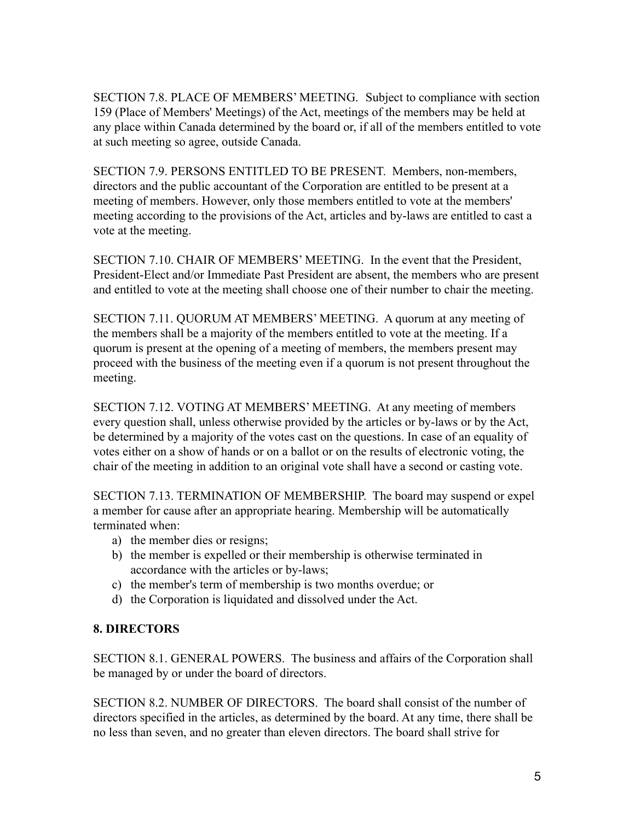SECTION 7.8. PLACE OF MEMBERS' MEETING. Subject to compliance with section 159 (Place of Members' Meetings) of the Act, meetings of the members may be held at any place within Canada determined by the board or, if all of the members entitled to vote at such meeting so agree, outside Canada.

SECTION 7.9. PERSONS ENTITLED TO BE PRESENT. Members, non-members, directors and the public accountant of the Corporation are entitled to be present at a meeting of members. However, only those members entitled to vote at the members' meeting according to the provisions of the Act, articles and by-laws are entitled to cast a vote at the meeting.

SECTION 7.10. CHAIR OF MEMBERS' MEETING. In the event that the President, President-Elect and/or Immediate Past President are absent, the members who are present and entitled to vote at the meeting shall choose one of their number to chair the meeting.

SECTION 7.11. QUORUM AT MEMBERS' MEETING. A quorum at any meeting of the members shall be a majority of the members entitled to vote at the meeting. If a quorum is present at the opening of a meeting of members, the members present may proceed with the business of the meeting even if a quorum is not present throughout the meeting.

SECTION 7.12. VOTING AT MEMBERS' MEETING. At any meeting of members every question shall, unless otherwise provided by the articles or by-laws or by the Act, be determined by a majority of the votes cast on the questions. In case of an equality of votes either on a show of hands or on a ballot or on the results of electronic voting, the chair of the meeting in addition to an original vote shall have a second or casting vote.

SECTION 7.13. TERMINATION OF MEMBERSHIP. The board may suspend or expel a member for cause after an appropriate hearing. Membership will be automatically terminated when:

- a) the member dies or resigns;
- b) the member is expelled or their membership is otherwise terminated in accordance with the articles or by-laws;
- c) the member's term of membership is two months overdue; or
- d) the Corporation is liquidated and dissolved under the Act.

### **8. DIRECTORS**

SECTION 8.1. GENERAL POWERS. The business and affairs of the Corporation shall be managed by or under the board of directors.

SECTION 8.2. NUMBER OF DIRECTORS. The board shall consist of the number of directors specified in the articles, as determined by the board. At any time, there shall be no less than seven, and no greater than eleven directors. The board shall strive for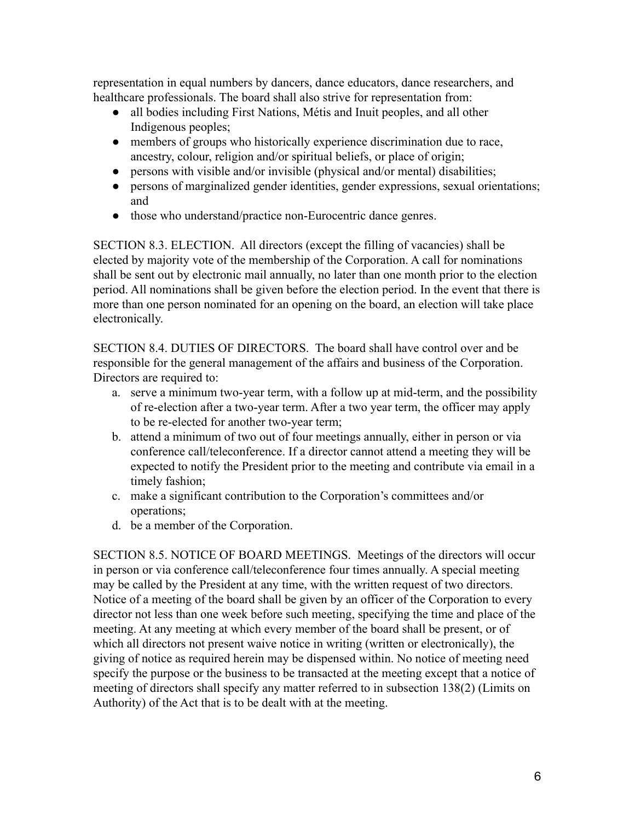representation in equal numbers by dancers, dance educators, dance researchers, and healthcare professionals. The board shall also strive for representation from:

- all bodies including First Nations, Métis and Inuit peoples, and all other Indigenous peoples;
- members of groups who historically experience discrimination due to race, ancestry, colour, religion and/or spiritual beliefs, or place of origin;
- persons with visible and/or invisible (physical and/or mental) disabilities;
- persons of marginalized gender identities, gender expressions, sexual orientations; and
- those who understand/practice non-Eurocentric dance genres.

SECTION 8.3. ELECTION. All directors (except the filling of vacancies) shall be elected by majority vote of the membership of the Corporation. A call for nominations shall be sent out by electronic mail annually, no later than one month prior to the election period. All nominations shall be given before the election period. In the event that there is more than one person nominated for an opening on the board, an election will take place electronically.

SECTION 8.4. DUTIES OF DIRECTORS. The board shall have control over and be responsible for the general management of the affairs and business of the Corporation. Directors are required to:

- a. serve a minimum two-year term, with a follow up at mid-term, and the possibility of re-election after a two-year term. After a two year term, the officer may apply to be re-elected for another two-year term;
- b. attend a minimum of two out of four meetings annually, either in person or via conference call/teleconference. If a director cannot attend a meeting they will be expected to notify the President prior to the meeting and contribute via email in a timely fashion;
- c. make a significant contribution to the Corporation's committees and/or operations;
- d. be a member of the Corporation.

SECTION 8.5. NOTICE OF BOARD MEETINGS. Meetings of the directors will occur in person or via conference call/teleconference four times annually. A special meeting may be called by the President at any time, with the written request of two directors. Notice of a meeting of the board shall be given by an officer of the Corporation to every director not less than one week before such meeting, specifying the time and place of the meeting. At any meeting at which every member of the board shall be present, or of which all directors not present waive notice in writing (written or electronically), the giving of notice as required herein may be dispensed within. No notice of meeting need specify the purpose or the business to be transacted at the meeting except that a notice of meeting of directors shall specify any matter referred to in subsection 138(2) (Limits on Authority) of the Act that is to be dealt with at the meeting.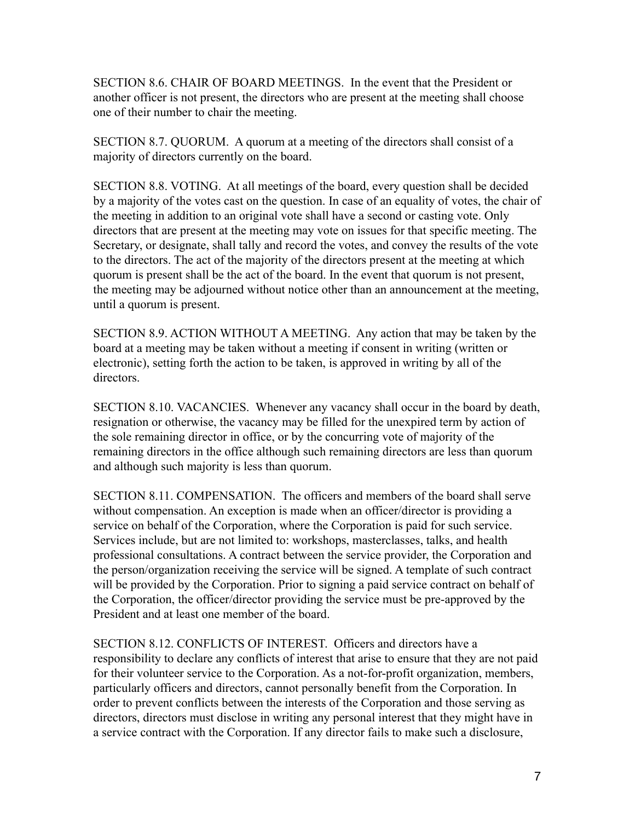SECTION 8.6. CHAIR OF BOARD MEETINGS. In the event that the President or another officer is not present, the directors who are present at the meeting shall choose one of their number to chair the meeting.

SECTION 8.7. QUORUM. A quorum at a meeting of the directors shall consist of a majority of directors currently on the board.

SECTION 8.8. VOTING. At all meetings of the board, every question shall be decided by a majority of the votes cast on the question. In case of an equality of votes, the chair of the meeting in addition to an original vote shall have a second or casting vote. Only directors that are present at the meeting may vote on issues for that specific meeting. The Secretary, or designate, shall tally and record the votes, and convey the results of the vote to the directors. The act of the majority of the directors present at the meeting at which quorum is present shall be the act of the board. In the event that quorum is not present, the meeting may be adjourned without notice other than an announcement at the meeting, until a quorum is present.

SECTION 8.9. ACTION WITHOUT A MEETING. Any action that may be taken by the board at a meeting may be taken without a meeting if consent in writing (written or electronic), setting forth the action to be taken, is approved in writing by all of the directors.

SECTION 8.10. VACANCIES. Whenever any vacancy shall occur in the board by death, resignation or otherwise, the vacancy may be filled for the unexpired term by action of the sole remaining director in office, or by the concurring vote of majority of the remaining directors in the office although such remaining directors are less than quorum and although such majority is less than quorum.

SECTION 8.11. COMPENSATION. The officers and members of the board shall serve without compensation. An exception is made when an officer/director is providing a service on behalf of the Corporation, where the Corporation is paid for such service. Services include, but are not limited to: workshops, masterclasses, talks, and health professional consultations. A contract between the service provider, the Corporation and the person/organization receiving the service will be signed. A template of such contract will be provided by the Corporation. Prior to signing a paid service contract on behalf of the Corporation, the officer/director providing the service must be pre-approved by the President and at least one member of the board.

SECTION 8.12. CONFLICTS OF INTEREST. Officers and directors have a responsibility to declare any conflicts of interest that arise to ensure that they are not paid for their volunteer service to the Corporation. As a not-for-profit organization, members, particularly officers and directors, cannot personally benefit from the Corporation. In order to prevent conflicts between the interests of the Corporation and those serving as directors, directors must disclose in writing any personal interest that they might have in a service contract with the Corporation. If any director fails to make such a disclosure,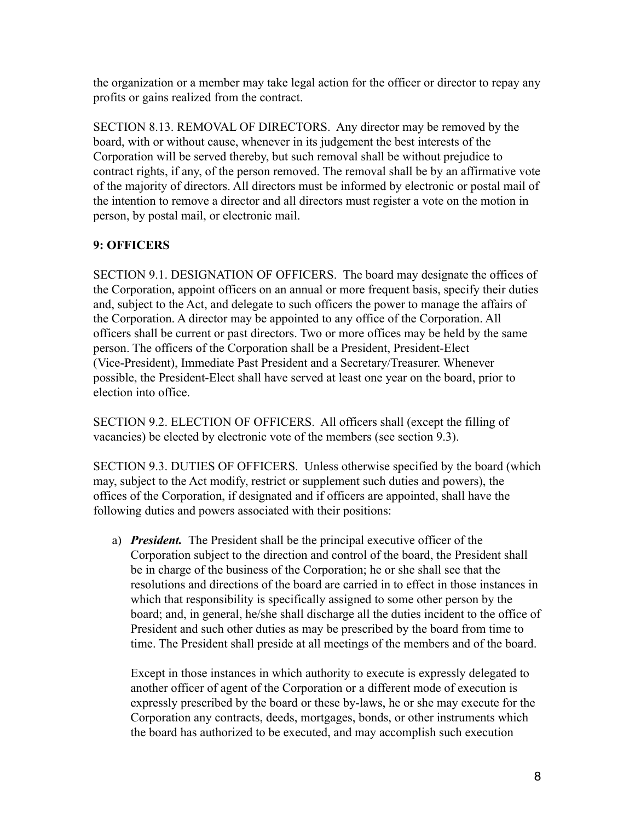the organization or a member may take legal action for the officer or director to repay any profits or gains realized from the contract.

SECTION 8.13. REMOVAL OF DIRECTORS. Any director may be removed by the board, with or without cause, whenever in its judgement the best interests of the Corporation will be served thereby, but such removal shall be without prejudice to contract rights, if any, of the person removed. The removal shall be by an affirmative vote of the majority of directors. All directors must be informed by electronic or postal mail of the intention to remove a director and all directors must register a vote on the motion in person, by postal mail, or electronic mail.

### **9: OFFICERS**

SECTION 9.1. DESIGNATION OF OFFICERS. The board may designate the offices of the Corporation, appoint officers on an annual or more frequent basis, specify their duties and, subject to the Act, and delegate to such officers the power to manage the affairs of the Corporation. A director may be appointed to any office of the Corporation. All officers shall be current or past directors. Two or more offices may be held by the same person. The officers of the Corporation shall be a President, President-Elect (Vice-President), Immediate Past President and a Secretary/Treasurer. Whenever possible, the President-Elect shall have served at least one year on the board, prior to election into office.

SECTION 9.2. ELECTION OF OFFICERS. All officers shall (except the filling of vacancies) be elected by electronic vote of the members (see section 9.3).

SECTION 9.3. DUTIES OF OFFICERS. Unless otherwise specified by the board (which may, subject to the Act modify, restrict or supplement such duties and powers), the offices of the Corporation, if designated and if officers are appointed, shall have the following duties and powers associated with their positions:

a) *President.* The President shall be the principal executive officer of the Corporation subject to the direction and control of the board, the President shall be in charge of the business of the Corporation; he or she shall see that the resolutions and directions of the board are carried in to effect in those instances in which that responsibility is specifically assigned to some other person by the board; and, in general, he/she shall discharge all the duties incident to the office of President and such other duties as may be prescribed by the board from time to time. The President shall preside at all meetings of the members and of the board.

Except in those instances in which authority to execute is expressly delegated to another officer of agent of the Corporation or a different mode of execution is expressly prescribed by the board or these by-laws, he or she may execute for the Corporation any contracts, deeds, mortgages, bonds, or other instruments which the board has authorized to be executed, and may accomplish such execution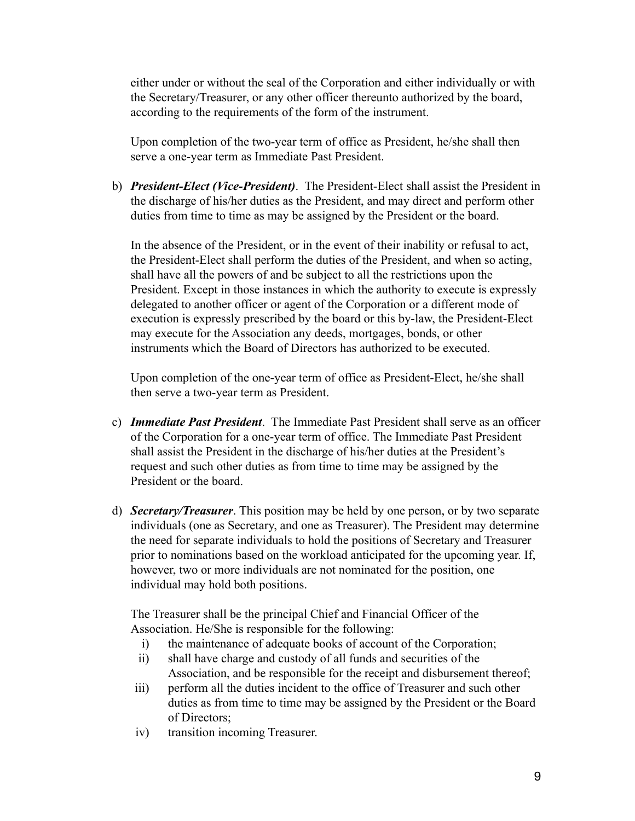either under or without the seal of the Corporation and either individually or with the Secretary/Treasurer, or any other officer thereunto authorized by the board, according to the requirements of the form of the instrument.

Upon completion of the two-year term of office as President, he/she shall then serve a one-year term as Immediate Past President.

b) *President-Elect (Vice-President)*. The President-Elect shall assist the President in the discharge of his/her duties as the President, and may direct and perform other duties from time to time as may be assigned by the President or the board.

In the absence of the President, or in the event of their inability or refusal to act, the President-Elect shall perform the duties of the President, and when so acting, shall have all the powers of and be subject to all the restrictions upon the President. Except in those instances in which the authority to execute is expressly delegated to another officer or agent of the Corporation or a different mode of execution is expressly prescribed by the board or this by-law, the President-Elect may execute for the Association any deeds, mortgages, bonds, or other instruments which the Board of Directors has authorized to be executed.

Upon completion of the one-year term of office as President-Elect, he/she shall then serve a two-year term as President.

- c) *Immediate Past President*. The Immediate Past President shall serve as an officer of the Corporation for a one-year term of office. The Immediate Past President shall assist the President in the discharge of his/her duties at the President's request and such other duties as from time to time may be assigned by the President or the board.
- d) *Secretary/Treasurer*. This position may be held by one person, or by two separate individuals (one as Secretary, and one as Treasurer). The President may determine the need for separate individuals to hold the positions of Secretary and Treasurer prior to nominations based on the workload anticipated for the upcoming year. If, however, two or more individuals are not nominated for the position, one individual may hold both positions.

The Treasurer shall be the principal Chief and Financial Officer of the Association. He/She is responsible for the following:

- i) the maintenance of adequate books of account of the Corporation;
- ii) shall have charge and custody of all funds and securities of the Association, and be responsible for the receipt and disbursement thereof;
- iii) perform all the duties incident to the office of Treasurer and such other duties as from time to time may be assigned by the President or the Board of Directors;
- iv) transition incoming Treasurer.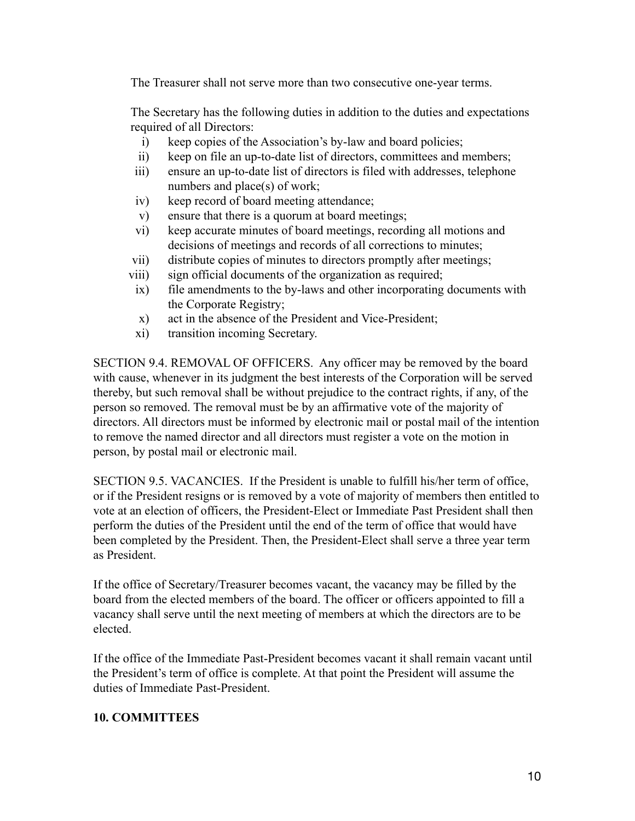The Treasurer shall not serve more than two consecutive one-year terms.

The Secretary has the following duties in addition to the duties and expectations required of all Directors:

- i) keep copies of the Association's by-law and board policies;
- ii) keep on file an up-to-date list of directors, committees and members;
- iii) ensure an up-to-date list of directors is filed with addresses, telephone numbers and place(s) of work;
- iv) keep record of board meeting attendance;
- v) ensure that there is a quorum at board meetings;
- vi) keep accurate minutes of board meetings, recording all motions and decisions of meetings and records of all corrections to minutes;
- vii) distribute copies of minutes to directors promptly after meetings;
- viii) sign official documents of the organization as required;
- ix) file amendments to the by-laws and other incorporating documents with the Corporate Registry;
- x) act in the absence of the President and Vice-President;
- xi) transition incoming Secretary.

SECTION 9.4. REMOVAL OF OFFICERS. Any officer may be removed by the board with cause, whenever in its judgment the best interests of the Corporation will be served thereby, but such removal shall be without prejudice to the contract rights, if any, of the person so removed. The removal must be by an affirmative vote of the majority of directors. All directors must be informed by electronic mail or postal mail of the intention to remove the named director and all directors must register a vote on the motion in person, by postal mail or electronic mail.

SECTION 9.5. VACANCIES. If the President is unable to fulfill his/her term of office, or if the President resigns or is removed by a vote of majority of members then entitled to vote at an election of officers, the President-Elect or Immediate Past President shall then perform the duties of the President until the end of the term of office that would have been completed by the President. Then, the President-Elect shall serve a three year term as President.

If the office of Secretary/Treasurer becomes vacant, the vacancy may be filled by the board from the elected members of the board. The officer or officers appointed to fill a vacancy shall serve until the next meeting of members at which the directors are to be elected.

If the office of the Immediate Past-President becomes vacant it shall remain vacant until the President's term of office is complete. At that point the President will assume the duties of Immediate Past-President.

# **10. COMMITTEES**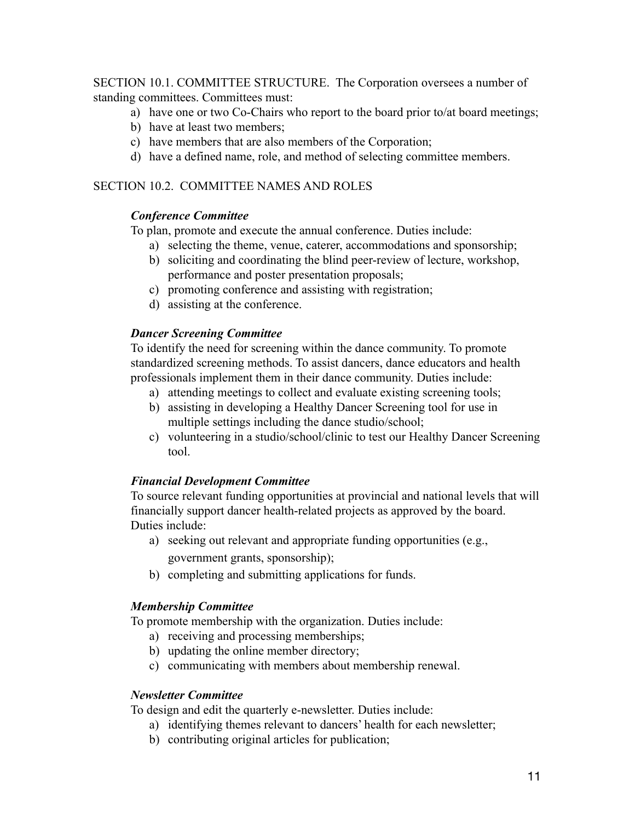SECTION 10.1. COMMITTEE STRUCTURE. The Corporation oversees a number of standing committees. Committees must:

- a) have one or two Co-Chairs who report to the board prior to/at board meetings;
- b) have at least two members;
- c) have members that are also members of the Corporation;
- d) have a defined name, role, and method of selecting committee members.

#### SECTION 10.2. COMMITTEE NAMES AND ROLES

#### *Conference Committee*

To plan, promote and execute the annual conference. Duties include:

- a) selecting the theme, venue, caterer, accommodations and sponsorship;
- b) soliciting and coordinating the blind peer-review of lecture, workshop, performance and poster presentation proposals;
- c) promoting conference and assisting with registration;
- d) assisting at the conference.

#### *Dancer Screening Committee*

To identify the need for screening within the dance community. To promote standardized screening methods. To assist dancers, dance educators and health professionals implement them in their dance community. Duties include:

- a) attending meetings to collect and evaluate existing screening tools;
- b) assisting in developing a Healthy Dancer Screening tool for use in multiple settings including the dance studio/school;
- c) volunteering in a studio/school/clinic to test our Healthy Dancer Screening tool.

### *Financial Development Committee*

To source relevant funding opportunities at provincial and national levels that will financially support dancer health-related projects as approved by the board. Duties include:

- a) seeking out relevant and appropriate funding opportunities (e.g., government grants, sponsorship);
- b) completing and submitting applications for funds.

#### *Membership Committee*

To promote membership with the organization. Duties include:

- a) receiving and processing memberships;
- b) updating the online member directory;
- c) communicating with members about membership renewal.

#### *Newsletter Committee*

To design and edit the quarterly e-newsletter. Duties include:

- a) identifying themes relevant to dancers' health for each newsletter;
- b) contributing original articles for publication;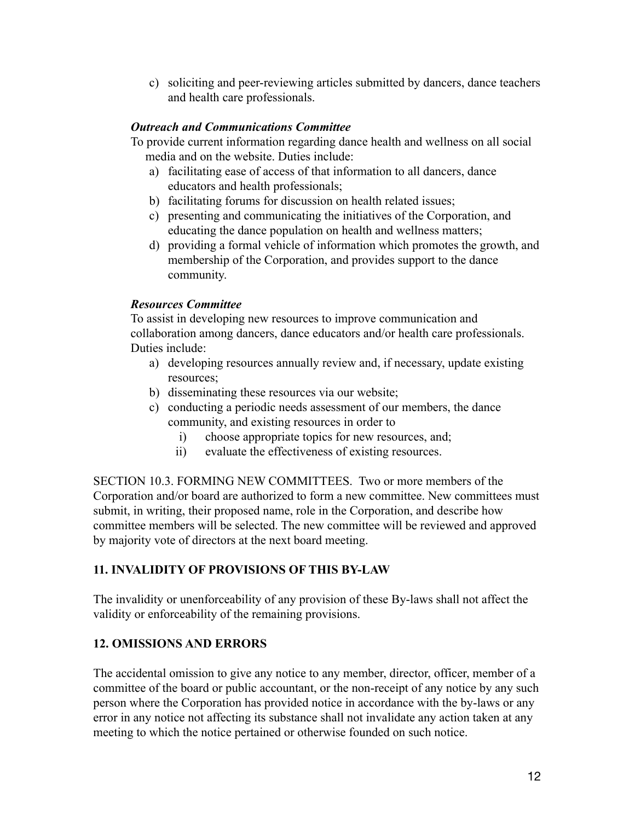c) soliciting and peer-reviewing articles submitted by dancers, dance teachers and health care professionals.

### *Outreach and Communications Committee*

To provide current information regarding dance health and wellness on all social media and on the website. Duties include:

- a) facilitating ease of access of that information to all dancers, dance educators and health professionals;
- b) facilitating forums for discussion on health related issues;
- c) presenting and communicating the initiatives of the Corporation, and educating the dance population on health and wellness matters;
- d) providing a formal vehicle of information which promotes the growth, and membership of the Corporation, and provides support to the dance community.

# *Resources Committee*

To assist in developing new resources to improve communication and collaboration among dancers, dance educators and/or health care professionals. Duties include:

- a) developing resources annually review and, if necessary, update existing resources;
- b) disseminating these resources via our website;
- c) conducting a periodic needs assessment of our members, the dance community, and existing resources in order to
	- i) choose appropriate topics for new resources, and;
	- ii) evaluate the effectiveness of existing resources.

SECTION 10.3. FORMING NEW COMMITTEES. Two or more members of the Corporation and/or board are authorized to form a new committee. New committees must submit, in writing, their proposed name, role in the Corporation, and describe how committee members will be selected. The new committee will be reviewed and approved by majority vote of directors at the next board meeting.

# **11. INVALIDITY OF PROVISIONS OF THIS BY-LAW**

The invalidity or unenforceability of any provision of these By-laws shall not affect the validity or enforceability of the remaining provisions.

# **12. OMISSIONS AND ERRORS**

The accidental omission to give any notice to any member, director, officer, member of a committee of the board or public accountant, or the non-receipt of any notice by any such person where the Corporation has provided notice in accordance with the by-laws or any error in any notice not affecting its substance shall not invalidate any action taken at any meeting to which the notice pertained or otherwise founded on such notice.